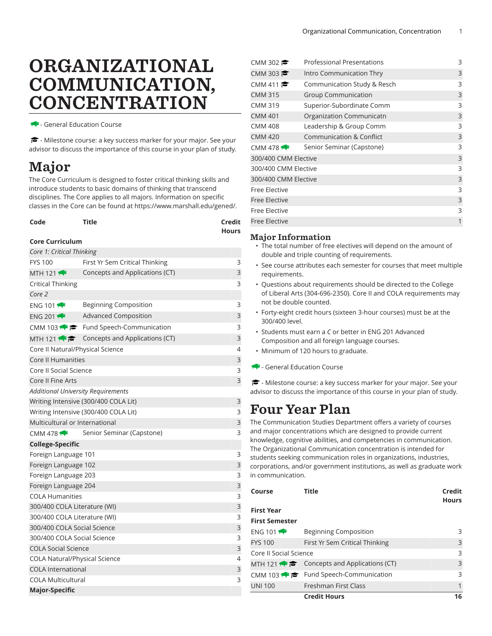# ORGANIZATIONAL COMMUNICATION, CONCENTRATION

- General Education Course

- Milestone course: a key success marker for your major. See your advisor to discuss the importance of this course in your plan of study.

## Major

The Core Curriculum is designed to foster critical thinking skills and introduce students to basic domains of thinking that transcend disciplines. The Core applies to all majors. Information on specific classes in the Core can be found at [https://www.marshall.edu/gened/.](https://www.marshall.edu/gened/)

| Code | <b>Title</b> | Credit       |
|------|--------------|--------------|
|      |              | <b>Hours</b> |

#### **Core Curriculum**

| Core 1: Critical Thinking                 |                                                     |   |
|-------------------------------------------|-----------------------------------------------------|---|
| <b>FYS 100</b>                            | First Yr Sem Critical Thinking                      | 3 |
| MTH 121 $\bigtriangledown$                | Concepts and Applications (CT)                      | 3 |
| <b>Critical Thinking</b>                  |                                                     | 3 |
| Core 2                                    |                                                     |   |
| ENG 101                                   | <b>Beginning Composition</b>                        | 3 |
| ENG 201 $\bigotimes$                      | <b>Advanced Composition</b>                         | 3 |
|                                           | CMM 103 $\bullet \bullet$ Fund Speech-Communication | 3 |
| MTH 121 $\bullet$                         | Concepts and Applications (CT)                      | 3 |
| Core II Natural/Physical Science          |                                                     | 4 |
| <b>Core II Humanities</b>                 |                                                     | 3 |
| Core II Social Science                    |                                                     | 3 |
| Core II Fine Arts                         |                                                     | 3 |
| <b>Additional University Requirements</b> |                                                     |   |
|                                           | Writing Intensive (300/400 COLA Lit)                | 3 |
|                                           | Writing Intensive (300/400 COLA Lit)                | 3 |
| Multicultural or International            |                                                     | 3 |
| CMM 478 $\leftrightarrow$                 | Senior Seminar (Capstone)                           | 3 |
| <b>College-Specific</b>                   |                                                     |   |
| Foreign Language 101                      |                                                     | 3 |
| Foreign Language 102                      |                                                     | 3 |
| Foreign Language 203                      |                                                     | 3 |
| Foreign Language 204                      |                                                     | 3 |
| <b>COLA Humanities</b>                    |                                                     | 3 |
| 300/400 COLA Literature (WI)              |                                                     | 3 |
| 300/400 COLA Literature (WI)              |                                                     | 3 |
| 300/400 COLA Social Science               |                                                     | 3 |
| 300/400 COLA Social Science               |                                                     | 3 |
| <b>COLA Social Science</b>                |                                                     | 3 |
| <b>COLA Natural/Physical Science</b>      |                                                     | 4 |
| <b>COLA International</b>                 |                                                     | 3 |
| <b>COLA Multicultural</b>                 |                                                     | 3 |
| <b>Major-Specific</b>                     |                                                     |   |

| CMM 302 $\approx$         | Professional Presentations  | 3 |
|---------------------------|-----------------------------|---|
| CMM 303                   | Intro Communication Thry    | 3 |
| CMM 411 $\approx$         | Communication Study & Resch | 3 |
| <b>CMM 315</b>            | <b>Group Communication</b>  | 3 |
| <b>CMM 319</b>            | Superior-Subordinate Comm   | 3 |
| <b>CMM 401</b>            | Organization Communicatn    | 3 |
| CMM 408                   | Leadership & Group Comm     | 3 |
| <b>CMM 420</b>            | Communication & Conflict    | 3 |
| CMM 478 $\leftrightarrow$ | Senior Seminar (Capstone)   | 3 |
| 300/400 CMM Elective      |                             | 3 |
| 300/400 CMM Elective      |                             | 3 |
| 300/400 CMM Elective      |                             | 3 |
| Free Elective             |                             | 3 |
| <b>Free Elective</b>      |                             | 3 |
| Free Elective             |                             | 3 |
| <b>Free Elective</b>      |                             | 1 |
|                           |                             |   |

#### Major Information

- The total number of free electives will depend on the amount of double and triple counting of requirements.
- See course attributes each semester for courses that meet multiple requirements.
- Questions about requirements should be directed to the College of Liberal Arts (304-696-2350). Core II and COLA requirements may not be double counted.
- Forty-eight credit hours (sixteen 3-hour courses) must be at the 300/400 level.
- Students must earn a *C* or better in ENG 201 Advanced Composition and all foreign language courses.
- Minimum of 120 hours to graduate.
- General Education Course

- Milestone course: a key success marker for your major. See your advisor to discuss the importance of this course in your plan of study.

### Four Year Plan

The Communication Studies Department offers a variety of courses and major concentrations which are designed to provide current knowledge, cognitive abilities, and competencies in communication. The Organizational Communication concentration is intended for students seeking communication roles in organizations, industries, corporations, and/or government institutions, as well as graduate work in communication.

| Course                 | Title                                                    | Credit<br><b>Hours</b> |
|------------------------|----------------------------------------------------------|------------------------|
| <b>First Year</b>      |                                                          |                        |
| <b>First Semester</b>  |                                                          |                        |
| ENG 101                | <b>Beginning Composition</b>                             | 3                      |
| <b>FYS 100</b>         | First Yr Sem Critical Thinking                           | 3                      |
| Core II Social Science |                                                          | 3                      |
|                        | MTH 121 $\leftrightarrow$ Concepts and Applications (CT) | 3                      |
|                        | CMM 103 $\bullet \bullet$ Fund Speech-Communication      | 3                      |
| <b>UNI 100</b>         | Freshman First Class                                     | 1                      |
|                        | <b>Credit Hours</b>                                      | 16                     |